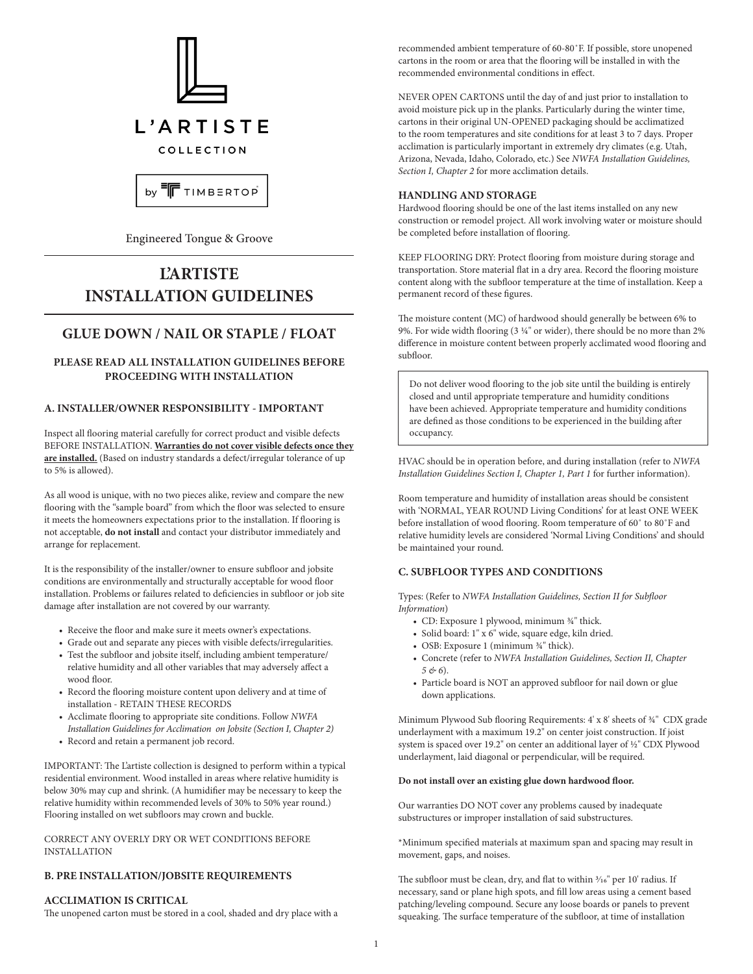

Engineered Tongue & Groove

# **L'ARTISTE INSTALLATION GUIDELINES**

# **GLUE DOWN / NAIL OR STAPLE / FLOAT**

# **PLEASE READ ALL INSTALLATION GUIDELINES BEFORE PROCEEDING WITH INSTALLATION**

# **A. INSTALLER/OWNER RESPONSIBILITY - IMPORTANT**

Inspect all flooring material carefully for correct product and visible defects BEFORE INSTALLATION. **Warranties do not cover visible defects once they are installed.** (Based on industry standards a defect/irregular tolerance of up to 5% is allowed).

As all wood is unique, with no two pieces alike, review and compare the new flooring with the "sample board" from which the floor was selected to ensure it meets the homeowners expectations prior to the installation. If flooring is not acceptable, **do not install** and contact your distributor immediately and arrange for replacement.

It is the responsibility of the installer/owner to ensure subfloor and jobsite conditions are environmentally and structurally acceptable for wood floor installation. Problems or failures related to deficiencies in subfloor or job site damage after installation are not covered by our warranty.

- Receive the floor and make sure it meets owner's expectations.
- Grade out and separate any pieces with visible defects/irregularities.
- Test the subfloor and jobsite itself, including ambient temperature/ relative humidity and all other variables that may adversely affect a wood floor.
- Record the flooring moisture content upon delivery and at time of installation - RETAIN THESE RECORDS
- Acclimate flooring to appropriate site conditions. Follow *NWFA Installation Guidelines for Acclimation on Jobsite (Section I, Chapter 2)*
- Record and retain a permanent job record.

IMPORTANT: The L'artiste collection is designed to perform within a typical residential environment. Wood installed in areas where relative humidity is below 30% may cup and shrink. (A humidifier may be necessary to keep the relative humidity within recommended levels of 30% to 50% year round.) Flooring installed on wet subfloors may crown and buckle.

CORRECT ANY OVERLY DRY OR WET CONDITIONS BEFORE INSTALLATION

## **B. PRE INSTALLATION/JOBSITE REQUIREMENTS**

# **ACCLIMATION IS CRITICAL**

The unopened carton must be stored in a cool, shaded and dry place with a

recommended ambient temperature of 60-80˚F. If possible, store unopened cartons in the room or area that the flooring will be installed in with the recommended environmental conditions in effect.

NEVER OPEN CARTONS until the day of and just prior to installation to avoid moisture pick up in the planks. Particularly during the winter time, cartons in their original UN-OPENED packaging should be acclimatized to the room temperatures and site conditions for at least 3 to 7 days. Proper acclimation is particularly important in extremely dry climates (e.g. Utah, Arizona, Nevada, Idaho, Colorado, etc.) See *NWFA Installation Guidelines, Section I, Chapter 2* for more acclimation details.

# **HANDLING AND STORAGE**

Hardwood flooring should be one of the last items installed on any new construction or remodel project. All work involving water or moisture should be completed before installation of flooring.

KEEP FLOORING DRY: Protect flooring from moisture during storage and transportation. Store material flat in a dry area. Record the flooring moisture content along with the subfloor temperature at the time of installation. Keep a permanent record of these figures.

The moisture content (MC) of hardwood should generally be between 6% to 9%. For wide width flooring (3 ¼" or wider), there should be no more than 2% difference in moisture content between properly acclimated wood flooring and subfloor.

Do not deliver wood flooring to the job site until the building is entirely closed and until appropriate temperature and humidity conditions have been achieved. Appropriate temperature and humidity conditions are defined as those conditions to be experienced in the building after occupancy.

HVAC should be in operation before, and during installation (refer to *NWFA Installation Guidelines Section I, Chapter 1, Part 1* for further information).

Room temperature and humidity of installation areas should be consistent with 'NORMAL, YEAR ROUND Living Conditions' for at least ONE WEEK before installation of wood flooring. Room temperature of 60˚ to 80˚F and relative humidity levels are considered 'Normal Living Conditions' and should be maintained your round.

# **C. SUBFLOOR TYPES AND CONDITIONS**

Types: (Refer to *NWFA Installation Guidelines, Section II for Subfloor Information*)

- CD: Exposure 1 plywood, minimum 34" thick.
- Solid board: 1" x 6" wide, square edge, kiln dried.
- OSB: Exposure 1 (minimum  $\frac{3}{4}$ " thick).
- Concrete (refer to *NWFA Installation Guidelines, Section II, Chapter 5 & 6*).
- Particle board is NOT an approved subfloor for nail down or glue down applications.

Minimum Plywood Sub flooring Requirements: 4' x 8' sheets of 34" CDX grade underlayment with a maximum 19.2" on center joist construction. If joist system is spaced over 19.2" on center an additional layer of 1/2" CDX Plywood underlayment, laid diagonal or perpendicular, will be required.

#### **Do not install over an existing glue down hardwood floor.**

Our warranties DO NOT cover any problems caused by inadequate substructures or improper installation of said substructures.

\*Minimum specified materials at maximum span and spacing may result in movement, gaps, and noises.

The subfloor must be clean, dry, and flat to within  $\frac{3}{16}$ " per 10' radius. If necessary, sand or plane high spots, and fill low areas using a cement based patching/leveling compound. Secure any loose boards or panels to prevent squeaking. The surface temperature of the subfloor, at time of installation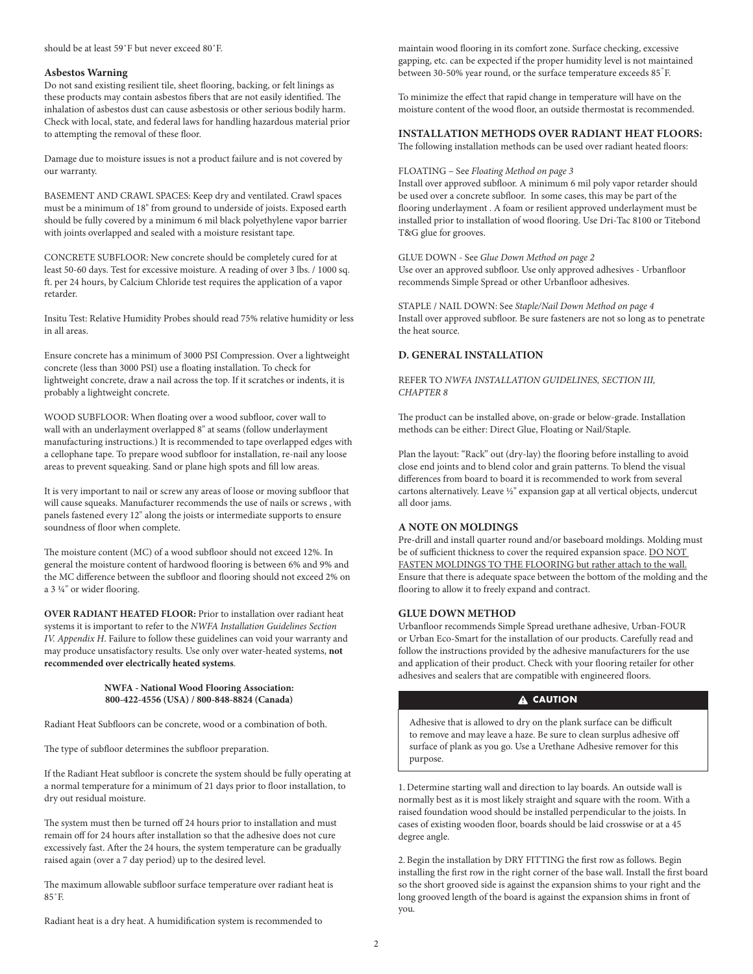#### should be at least 59˚F but never exceed 80˚F.

#### **Asbestos Warning**

Do not sand existing resilient tile, sheet flooring, backing, or felt linings as these products may contain asbestos fibers that are not easily identified. The inhalation of asbestos dust can cause asbestosis or other serious bodily harm. Check with local, state, and federal laws for handling hazardous material prior to attempting the removal of these floor.

Damage due to moisture issues is not a product failure and is not covered by our warranty.

BASEMENT AND CRAWL SPACES: Keep dry and ventilated. Crawl spaces must be a minimum of 18" from ground to underside of joists. Exposed earth should be fully covered by a minimum 6 mil black polyethylene vapor barrier with joints overlapped and sealed with a moisture resistant tape.

CONCRETE SUBFLOOR: New concrete should be completely cured for at least 50-60 days. Test for excessive moisture. A reading of over 3 lbs. / 1000 sq. ft. per 24 hours, by Calcium Chloride test requires the application of a vapor retarder.

Insitu Test: Relative Humidity Probes should read 75% relative humidity or less in all areas.

Ensure concrete has a minimum of 3000 PSI Compression. Over a lightweight concrete (less than 3000 PSI) use a floating installation. To check for lightweight concrete, draw a nail across the top. If it scratches or indents, it is probably a lightweight concrete.

WOOD SUBFLOOR: When floating over a wood subfloor, cover wall to wall with an underlayment overlapped 8" at seams (follow underlayment manufacturing instructions.) It is recommended to tape overlapped edges with a cellophane tape. To prepare wood subfloor for installation, re-nail any loose areas to prevent squeaking. Sand or plane high spots and fill low areas.

It is very important to nail or screw any areas of loose or moving subfloor that will cause squeaks. Manufacturer recommends the use of nails or screws , with panels fastened every 12" along the joists or intermediate supports to ensure soundness of floor when complete.

The moisture content (MC) of a wood subfloor should not exceed 12%. In general the moisture content of hardwood flooring is between 6% and 9% and the MC difference between the subfloor and flooring should not exceed 2% on a 3 1/4" or wider flooring.

**OVER RADIANT HEATED FLOOR:** Prior to installation over radiant heat systems it is important to refer to the *NWFA Installation Guidelines Section IV. Appendix H*. Failure to follow these guidelines can void your warranty and may produce unsatisfactory results. Use only over water-heated systems, **not recommended over electrically heated systems**.

#### **NWFA - National Wood Flooring Association: 800-422-4556 (USA) / 800-848-8824 (Canada)**

Radiant Heat Subfloors can be concrete, wood or a combination of both.

The type of subfloor determines the subfloor preparation.

If the Radiant Heat subfloor is concrete the system should be fully operating at a normal temperature for a minimum of 21 days prior to floor installation, to dry out residual moisture.

The system must then be turned off 24 hours prior to installation and must remain off for 24 hours after installation so that the adhesive does not cure excessively fast. After the 24 hours, the system temperature can be gradually raised again (over a 7 day period) up to the desired level.

The maximum allowable subfloor surface temperature over radiant heat is  $85°E$ 

Radiant heat is a dry heat. A humidification system is recommended to

maintain wood flooring in its comfort zone. Surface checking, excessive gapping, etc. can be expected if the proper humidity level is not maintained between 30-50% year round, or the surface temperature exceeds 85°F.

To minimize the effect that rapid change in temperature will have on the moisture content of the wood floor, an outside thermostat is recommended.

# **INSTALLATION METHODS OVER RADIANT HEAT FLOORS:**

The following installation methods can be used over radiant heated floors:

#### FLOATING – See *Floating Method on page 3*

Install over approved subfloor. A minimum 6 mil poly vapor retarder should be used over a concrete subfloor. In some cases, this may be part of the flooring underlayment . A foam or resilient approved underlayment must be installed prior to installation of wood flooring. Use Dri-Tac 8100 or Titebond T&G glue for grooves.

GLUE DOWN - See *Glue Down Method on page 2* Use over an approved subfloor. Use only approved adhesives - Urbanfloor recommends Simple Spread or other Urbanfloor adhesives.

STAPLE / NAIL DOWN: See *Staple/Nail Down Method on page 4* Install over approved subfloor. Be sure fasteners are not so long as to penetrate the heat source.

# **D. GENERAL INSTALLATION**

REFER TO *NWFA INSTALLATION GUIDELINES, SECTION III, CHAPTER 8*

The product can be installed above, on-grade or below-grade. Installation methods can be either: Direct Glue, Floating or Nail/Staple.

Plan the layout: "Rack" out (dry-lay) the flooring before installing to avoid close end joints and to blend color and grain patterns. To blend the visual differences from board to board it is recommended to work from several cartons alternatively. Leave 1/2" expansion gap at all vertical objects, undercut all door jams.

## **A NOTE ON MOLDINGS**

Pre-drill and install quarter round and/or baseboard moldings. Molding must be of sufficient thickness to cover the required expansion space. DO NOT FASTEN MOLDINGS TO THE FLOORING but rather attach to the wall. Ensure that there is adequate space between the bottom of the molding and the flooring to allow it to freely expand and contract.

#### **GLUE DOWN METHOD**

Urbanfloor recommends Simple Spread urethane adhesive, Urban-FOUR or Urban Eco-Smart for the installation of our products. Carefully read and follow the instructions provided by the adhesive manufacturers for the use and application of their product. Check with your flooring retailer for other adhesives and sealers that are compatible with engineered floors.

#### A CAUTION

Adhesive that is allowed to dry on the plank surface can be difficult to remove and may leave a haze. Be sure to clean surplus adhesive off surface of plank as you go. Use a Urethane Adhesive remover for this purpose.

1. Determine starting wall and direction to lay boards. An outside wall is normally best as it is most likely straight and square with the room. With a raised foundation wood should be installed perpendicular to the joists. In cases of existing wooden floor, boards should be laid crosswise or at a 45 degree angle.

2. Begin the installation by DRY FITTING the first row as follows. Begin installing the first row in the right corner of the base wall. Install the first board so the short grooved side is against the expansion shims to your right and the long grooved length of the board is against the expansion shims in front of you.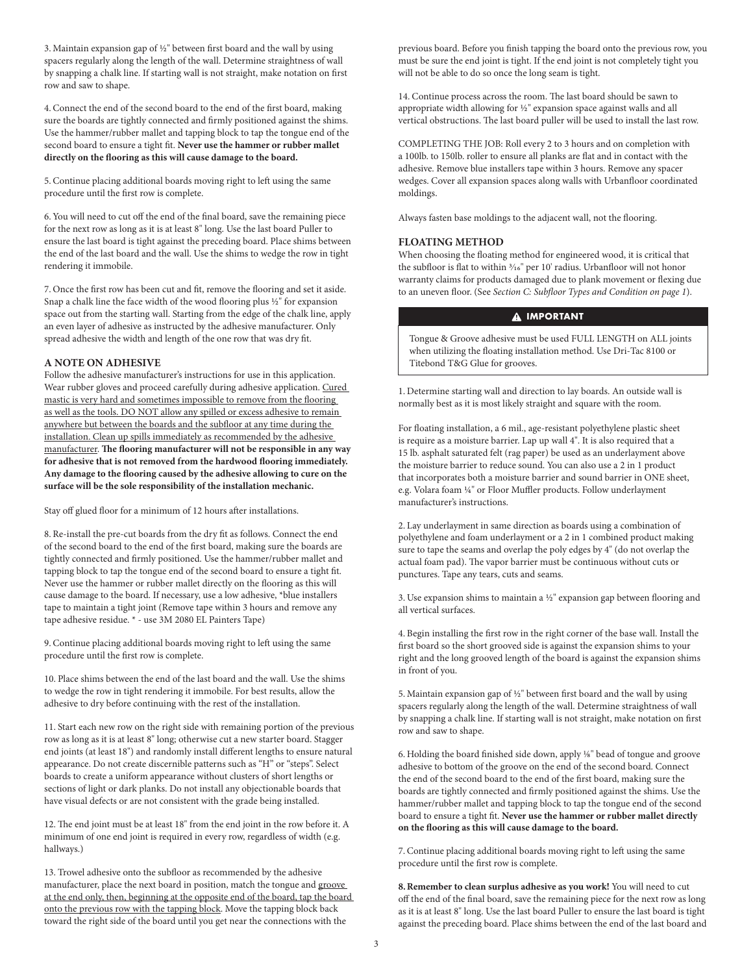3. Maintain expansion gap of  $\frac{1}{2}$ " between first board and the wall by using spacers regularly along the length of the wall. Determine straightness of wall by snapping a chalk line. If starting wall is not straight, make notation on first row and saw to shape.

4. Connect the end of the second board to the end of the first board, making sure the boards are tightly connected and firmly positioned against the shims. Use the hammer/rubber mallet and tapping block to tap the tongue end of the second board to ensure a tight fit. **Never use the hammer or rubber mallet directly on the flooring as this will cause damage to the board.**

5. Continue placing additional boards moving right to left using the same procedure until the first row is complete.

6. You will need to cut off the end of the final board, save the remaining piece for the next row as long as it is at least 8" long. Use the last board Puller to ensure the last board is tight against the preceding board. Place shims between the end of the last board and the wall. Use the shims to wedge the row in tight rendering it immobile.

7. Once the first row has been cut and fit, remove the flooring and set it aside. Snap a chalk line the face width of the wood flooring plus 1/2" for expansion space out from the starting wall. Starting from the edge of the chalk line, apply an even layer of adhesive as instructed by the adhesive manufacturer. Only spread adhesive the width and length of the one row that was dry fit.

## **A NOTE ON ADHESIVE**

Follow the adhesive manufacturer's instructions for use in this application. Wear rubber gloves and proceed carefully during adhesive application. Cured mastic is very hard and sometimes impossible to remove from the flooring as well as the tools. DO NOT allow any spilled or excess adhesive to remain anywhere but between the boards and the subfloor at any time during the installation. Clean up spills immediately as recommended by the adhesive manufacturer. **The flooring manufacturer will not be responsible in any way for adhesive that is not removed from the hardwood flooring immediately. Any damage to the flooring caused by the adhesive allowing to cure on the surface will be the sole responsibility of the installation mechanic.**

Stay off glued floor for a minimum of 12 hours after installations.

8. Re-install the pre-cut boards from the dry fit as follows. Connect the end of the second board to the end of the first board, making sure the boards are tightly connected and firmly positioned. Use the hammer/rubber mallet and tapping block to tap the tongue end of the second board to ensure a tight fit. Never use the hammer or rubber mallet directly on the flooring as this will cause damage to the board. If necessary, use a low adhesive, \*blue installers tape to maintain a tight joint (Remove tape within 3 hours and remove any tape adhesive residue. \* - use 3M 2080 EL Painters Tape)

9. Continue placing additional boards moving right to left using the same procedure until the first row is complete.

10. Place shims between the end of the last board and the wall. Use the shims to wedge the row in tight rendering it immobile. For best results, allow the adhesive to dry before continuing with the rest of the installation.

11. Start each new row on the right side with remaining portion of the previous row as long as it is at least 8" long; otherwise cut a new starter board. Stagger end joints (at least 18") and randomly install different lengths to ensure natural appearance. Do not create discernible patterns such as "H" or "steps". Select boards to create a uniform appearance without clusters of short lengths or sections of light or dark planks. Do not install any objectionable boards that have visual defects or are not consistent with the grade being installed.

12. The end joint must be at least 18" from the end joint in the row before it. A minimum of one end joint is required in every row, regardless of width (e.g. hallways.)

13. Trowel adhesive onto the subfloor as recommended by the adhesive manufacturer, place the next board in position, match the tongue and groove at the end only, then, beginning at the opposite end of the board, tap the board onto the previous row with the tapping block. Move the tapping block back toward the right side of the board until you get near the connections with the

previous board. Before you finish tapping the board onto the previous row, you must be sure the end joint is tight. If the end joint is not completely tight you will not be able to do so once the long seam is tight.

14. Continue process across the room. The last board should be sawn to appropriate width allowing for 1/2" expansion space against walls and all vertical obstructions. The last board puller will be used to install the last row.

COMPLETING THE JOB: Roll every 2 to 3 hours and on completion with a 100lb. to 150lb. roller to ensure all planks are flat and in contact with the adhesive. Remove blue installers tape within 3 hours. Remove any spacer wedges. Cover all expansion spaces along walls with Urbanfloor coordinated moldings.

Always fasten base moldings to the adjacent wall, not the flooring.

# **FLOATING METHOD**

When choosing the floating method for engineered wood, it is critical that the subfloor is flat to within 3/16" per 10' radius. Urbanfloor will not honor warranty claims for products damaged due to plank movement or flexing due to an uneven floor. (See *Section C: Subfloor Types and Condition on page 1*).

# **A IMPORTANT**

Tongue & Groove adhesive must be used FULL LENGTH on ALL joints when utilizing the floating installation method. Use Dri-Tac 8100 or Titebond T&G Glue for grooves.

1. Determine starting wall and direction to lay boards. An outside wall is normally best as it is most likely straight and square with the room.

For floating installation, a 6 mil., age-resistant polyethylene plastic sheet is require as a moisture barrier. Lap up wall 4". It is also required that a 15 lb. asphalt saturated felt (rag paper) be used as an underlayment above the moisture barrier to reduce sound. You can also use a 2 in 1 product that incorporates both a moisture barrier and sound barrier in ONE sheet, e.g. Volara foam 1/4" or Floor Muffler products. Follow underlayment manufacturer's instructions.

2. Lay underlayment in same direction as boards using a combination of polyethylene and foam underlayment or a 2 in 1 combined product making sure to tape the seams and overlap the poly edges by 4" (do not overlap the actual foam pad). The vapor barrier must be continuous without cuts or punctures. Tape any tears, cuts and seams.

3. Use expansion shims to maintain a ½" expansion gap between flooring and all vertical surfaces.

4. Begin installing the first row in the right corner of the base wall. Install the first board so the short grooved side is against the expansion shims to your right and the long grooved length of the board is against the expansion shims in front of you.

5. Maintain expansion gap of ½" between first board and the wall by using spacers regularly along the length of the wall. Determine straightness of wall by snapping a chalk line. If starting wall is not straight, make notation on first row and saw to shape.

6. Holding the board finished side down, apply 1/8" bead of tongue and groove adhesive to bottom of the groove on the end of the second board. Connect the end of the second board to the end of the first board, making sure the boards are tightly connected and firmly positioned against the shims. Use the hammer/rubber mallet and tapping block to tap the tongue end of the second board to ensure a tight fit. **Never use the hammer or rubber mallet directly on the flooring as this will cause damage to the board.**

7. Continue placing additional boards moving right to left using the same procedure until the first row is complete.

**8.Remember to clean surplus adhesive as you work!** You will need to cut off the end of the final board, save the remaining piece for the next row as long as it is at least 8" long. Use the last board Puller to ensure the last board is tight against the preceding board. Place shims between the end of the last board and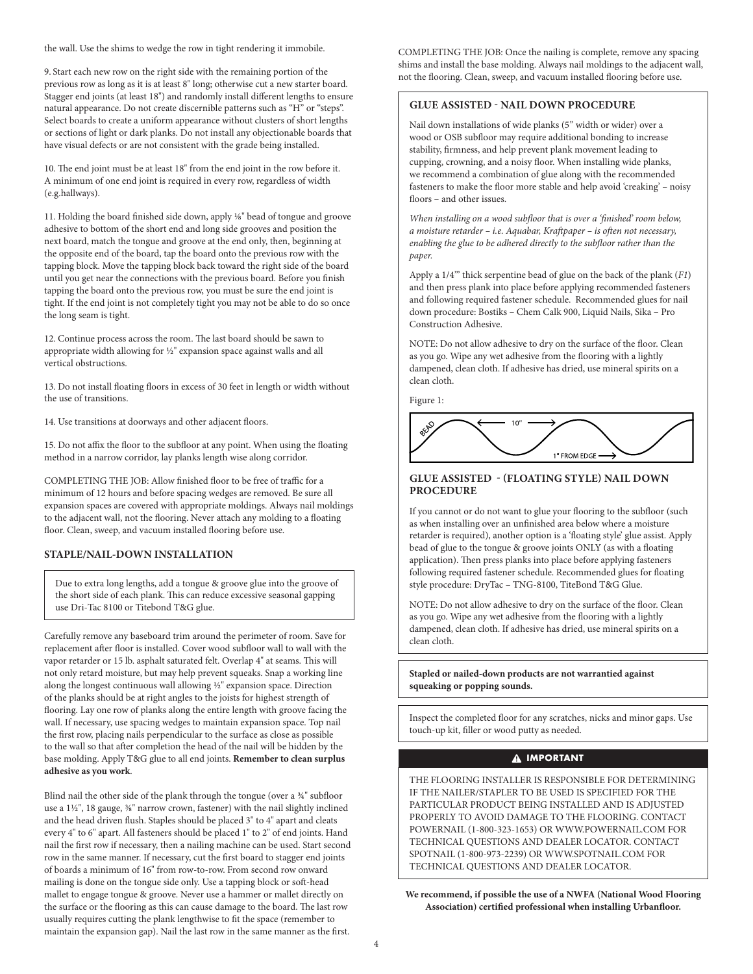the wall. Use the shims to wedge the row in tight rendering it immobile.

9. Start each new row on the right side with the remaining portion of the previous row as long as it is at least 8" long; otherwise cut a new starter board. Stagger end joints (at least 18") and randomly install different lengths to ensure natural appearance. Do not create discernible patterns such as "H" or "steps". Select boards to create a uniform appearance without clusters of short lengths or sections of light or dark planks. Do not install any objectionable boards that have visual defects or are not consistent with the grade being installed.

10. The end joint must be at least 18" from the end joint in the row before it. A minimum of one end joint is required in every row, regardless of width (e.g.hallways).

11. Holding the board finished side down, apply 1/8" bead of tongue and groove adhesive to bottom of the short end and long side grooves and position the next board, match the tongue and groove at the end only, then, beginning at the opposite end of the board, tap the board onto the previous row with the tapping block. Move the tapping block back toward the right side of the board until you get near the connections with the previous board. Before you finish tapping the board onto the previous row, you must be sure the end joint is tight. If the end joint is not completely tight you may not be able to do so once the long seam is tight.

12. Continue process across the room. The last board should be sawn to appropriate width allowing for 1/2" expansion space against walls and all vertical obstructions.

13. Do not install floating floors in excess of 30 feet in length or width without the use of transitions.

14. Use transitions at doorways and other adjacent floors.

15. Do not affix the floor to the subfloor at any point. When using the floating method in a narrow corridor, lay planks length wise along corridor.

COMPLETING THE JOB: Allow finished floor to be free of traffic for a minimum of 12 hours and before spacing wedges are removed. Be sure all expansion spaces are covered with appropriate moldings. Always nail moldings to the adjacent wall, not the flooring. Never attach any molding to a floating floor. Clean, sweep, and vacuum installed flooring before use.

# **STAPLE/NAIL-DOWN INSTALLATION**

Due to extra long lengths, add a tongue & groove glue into the groove of the short side of each plank. This can reduce excessive seasonal gapping use Dri-Tac 8100 or Titebond T&G glue.

Carefully remove any baseboard trim around the perimeter of room. Save for replacement after floor is installed. Cover wood subfloor wall to wall with the vapor retarder or 15 lb. asphalt saturated felt. Overlap 4" at seams. This will not only retard moisture, but may help prevent squeaks. Snap a working line along the longest continuous wall allowing ½" expansion space. Direction of the planks should be at right angles to the joists for highest strength of flooring. Lay one row of planks along the entire length with groove facing the wall. If necessary, use spacing wedges to maintain expansion space. Top nail the first row, placing nails perpendicular to the surface as close as possible to the wall so that after completion the head of the nail will be hidden by the base molding. Apply T&G glue to all end joints. **Remember to clean surplus adhesive as you work**.

Blind nail the other side of the plank through the tongue (over a ¾" subfloor use a 1½", 18 gauge,  $\frac{3}{8}$ " narrow crown, fastener) with the nail slightly inclined and the head driven flush. Staples should be placed 3" to 4" apart and cleats every 4" to 6" apart. All fasteners should be placed 1" to 2" of end joints. Hand nail the first row if necessary, then a nailing machine can be used. Start second row in the same manner. If necessary, cut the first board to stagger end joints of boards a minimum of 16" from row-to-row. From second row onward mailing is done on the tongue side only. Use a tapping block or soft-head mallet to engage tongue & groove. Never use a hammer or mallet directly on the surface or the flooring as this can cause damage to the board. The last row usually requires cutting the plank lengthwise to fit the space (remember to maintain the expansion gap). Nail the last row in the same manner as the first.

COMPLETING THE JOB: Once the nailing is complete, remove any spacing shims and install the base molding. Always nail moldings to the adjacent wall, not the flooring. Clean, sweep, and vacuum installed flooring before use.

# **GLUE ASSISTED - NAIL DOWN PROCEDURE**

Nail down installations of wide planks (5" width or wider) over a wood or OSB subfloor may require additional bonding to increase stability, firmness, and help prevent plank movement leading to cupping, crowning, and a noisy floor. When installing wide planks, we recommend a combination of glue along with the recommended fasteners to make the floor more stable and help avoid 'creaking' – noisy floors – and other issues.

*When installing on a wood subfloor that is over a 'finished' room below, a moisture retarder – i.e. Aquabar, Kraftpaper – is often not necessary, enabling the glue to be adhered directly to the subfloor rather than the paper.* 

Apply a 1/4'" thick serpentine bead of glue on the back of the plank (*F1*) and then press plank into place before applying recommended fasteners and following required fastener schedule. Recommended glues for nail down procedure: Bostiks – Chem Calk 900, Liquid Nails, Sika – Pro Construction Adhesive.

NOTE: Do not allow adhesive to dry on the surface of the floor. Clean as you go. Wipe any wet adhesive from the flooring with a lightly dampened, clean cloth. If adhesive has dried, use mineral spirits on a clean cloth.

Figure 1:



## **GLUE ASSISTED - (FLOATING STYLE) NAIL DOWN PROCEDURE**

If you cannot or do not want to glue your flooring to the subfloor (such as when installing over an unfinished area below where a moisture retarder is required), another option is a 'floating style' glue assist. Apply bead of glue to the tongue & groove joints ONLY (as with a floating application). Then press planks into place before applying fasteners following required fastener schedule. Recommended glues for floating style procedure: DryTac – TNG-8100, TiteBond T&G Glue.

NOTE: Do not allow adhesive to dry on the surface of the floor. Clean as you go. Wipe any wet adhesive from the flooring with a lightly dampened, clean cloth. If adhesive has dried, use mineral spirits on a clean cloth.

**Stapled or nailed-down products are not warrantied against squeaking or popping sounds.**

Inspect the completed floor for any scratches, nicks and minor gaps. Use touch-up kit, filler or wood putty as needed.

# **A** IMPORTANT

THE FLOORING INSTALLER IS RESPONSIBLE FOR DETERMINING IF THE NAILER/STAPLER TO BE USED IS SPECIFIED FOR THE PARTICULAR PRODUCT BEING INSTALLED AND IS ADJUSTED PROPERLY TO AVOID DAMAGE TO THE FLOORING. CONTACT POWERNAIL (1-800-323-1653) OR WWW.POWERNAIL.COM FOR TECHNICAL QUESTIONS AND DEALER LOCATOR. CONTACT SPOTNAIL (1-800-973-2239) OR WWW.SPOTNAIL.COM FOR TECHNICAL QUESTIONS AND DEALER LOCATOR.

**We recommend, if possible the use of a NWFA (National Wood Flooring Association) certified professional when installing Urbanfloor.**